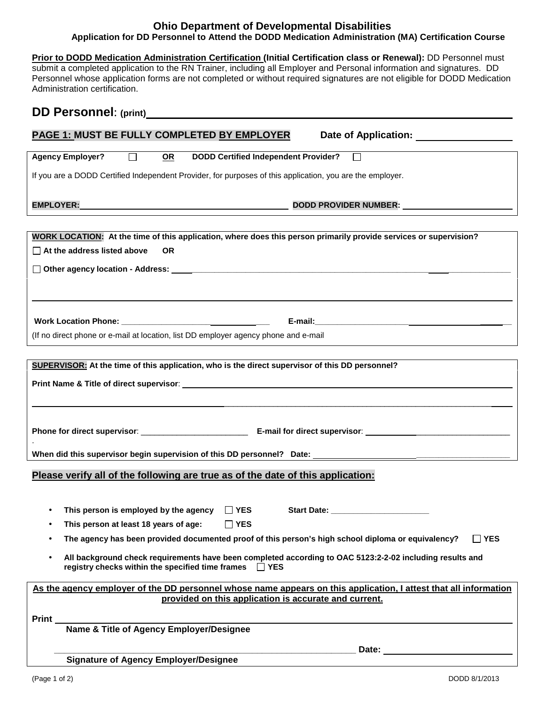## **Ohio Department of Developmental Disabilities Application for DD Personnel to Attend the DODD Medication Administration (MA) Certification Course**

**Prior to DODD Medication Administration Certification (Initial Certification class or Renewal):** DD Personnel must submit a completed application to the RN Trainer, including all Employer and Personal information and signatures. DD Personnel whose application forms are not completed or without required signatures are not eligible for DODD Medication Administration certification.

## **DD Personnel**: **(print)**

| <b>PAGE 1: MUST BE FULLY COMPLETED BY EMPLOYER</b>                                                                                                                              |
|---------------------------------------------------------------------------------------------------------------------------------------------------------------------------------|
| <b>Agency Employer?</b><br>$\Box$<br><b>DODD Certified Independent Provider?</b><br><u>OR</u>                                                                                   |
| If you are a DODD Certified Independent Provider, for purposes of this application, you are the employer.                                                                       |
| DODD PROVIDER NUMBER: NORTH PROVIDER NUMBER:                                                                                                                                    |
|                                                                                                                                                                                 |
| WORK LOCATION: At the time of this application, where does this person primarily provide services or supervision?<br>$\Box$ At the address listed above<br><b>OR</b>            |
|                                                                                                                                                                                 |
|                                                                                                                                                                                 |
|                                                                                                                                                                                 |
|                                                                                                                                                                                 |
|                                                                                                                                                                                 |
| (If no direct phone or e-mail at location, list DD employer agency phone and e-mail                                                                                             |
|                                                                                                                                                                                 |
| SUPERVISOR: At the time of this application, who is the direct supervisor of this DD personnel?                                                                                 |
|                                                                                                                                                                                 |
|                                                                                                                                                                                 |
|                                                                                                                                                                                 |
|                                                                                                                                                                                 |
|                                                                                                                                                                                 |
| Please verify all of the following are true as of the date of this application:                                                                                                 |
|                                                                                                                                                                                 |
| This person is employed by the agency<br>$\Box$ YES                                                                                                                             |
| This person at least 18 years of age: $\Box$ YES<br>٠                                                                                                                           |
| The agency has been provided documented proof of this person's high school diploma or equivalency?<br>$\Box$ YES<br>$\bullet$                                                   |
|                                                                                                                                                                                 |
| All background check requirements have been completed according to OAC 5123:2-2-02 including results and<br>$\bullet$<br>registry checks within the specified time frames   YES |
| As the agency employer of the DD personnel whose name appears on this application, I attest that all information                                                                |
| provided on this application is accurate and current.                                                                                                                           |
| Print                                                                                                                                                                           |
| Name & Title of Agency Employer/Designee                                                                                                                                        |
| Date:                                                                                                                                                                           |

 **Signature of Agency Employer/Designee**